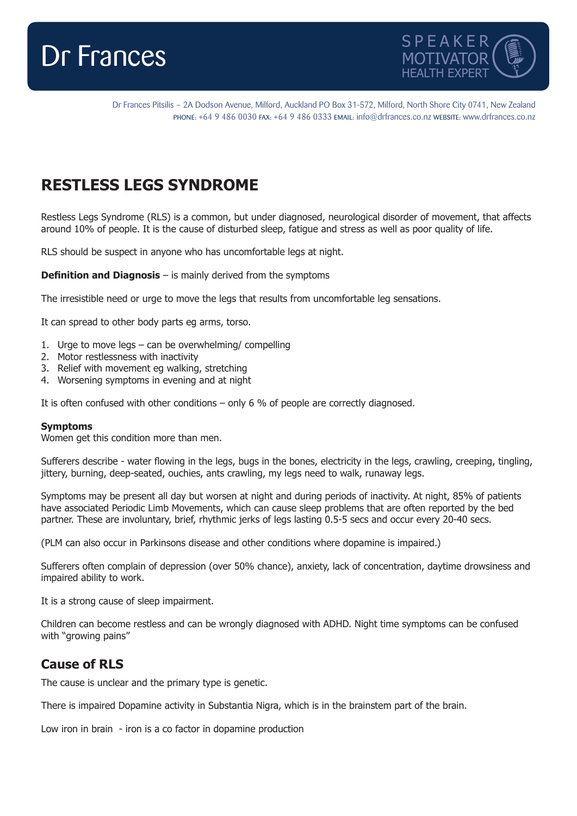



Dr Frances Pitsilis – 2A Dodson Avenue, Milford, Auckland PO Box 31-572, Milford, North Shore City 0741, New Zealand PHONE: +64 9 486 0030 FAX: +64 9 486 0333 EMAIL: info@drfrances.co.nz WEBSITE: www.drfrances.co.nz

# **RESTLESS LEGS SYNDROME**

Restless Legs Syndrome (RLS) is a common, but under diagnosed, neurological disorder of movement, that affects around 10% of people. It is the cause of disturbed sleep, fatigue and stress as well as poor quality of life.

RLS should be suspect in anyone who has uncomfortable legs at night.

**Definition and Diagnosis** – is mainly derived from the symptoms

The irresistible need or urge to move the legs that results from uncomfortable leg sensations.

It can spread to other body parts eg arms, torso.

- 1. Urge to move legs can be overwhelming/ compelling
- 2. Motor restlessness with inactivity
- 3. Relief with movement eg walking, stretching
- 4. Worsening symptoms in evening and at night

It is often confused with other conditions – only 6 % of people are correctly diagnosed.

#### **Symptoms**

Women get this condition more than men.

Sufferers describe - water flowing in the legs, bugs in the bones, electricity in the legs, crawling, creeping, tingling, jittery, burning, deep-seated, ouchies, ants crawling, my legs need to walk, runaway legs.

Symptoms may be present all day but worsen at night and during periods of inactivity. At night, 85% of patients have associated Periodic Limb Movements, which can cause sleep problems that are often reported by the bed partner. These are involuntary, brief, rhythmic jerks of legs lasting 0.5-5 secs and occur every 20-40 secs.

(PLM can also occur in Parkinsons disease and other conditions where dopamine is impaired.)

Sufferers often complain of depression (over 50% chance), anxiety, lack of concentration, daytime drowsiness and impaired ability to work.

It is a strong cause of sleep impairment.

Children can become restless and can be wrongly diagnosed with ADHD. Night time symptoms can be confused with "growing pains"

### **Cause of RLS**

The cause is unclear and the primary type is genetic.

There is impaired Dopamine activity in Substantia Nigra, which is in the brainstem part of the brain.

Low iron in brain - iron is a co factor in dopamine production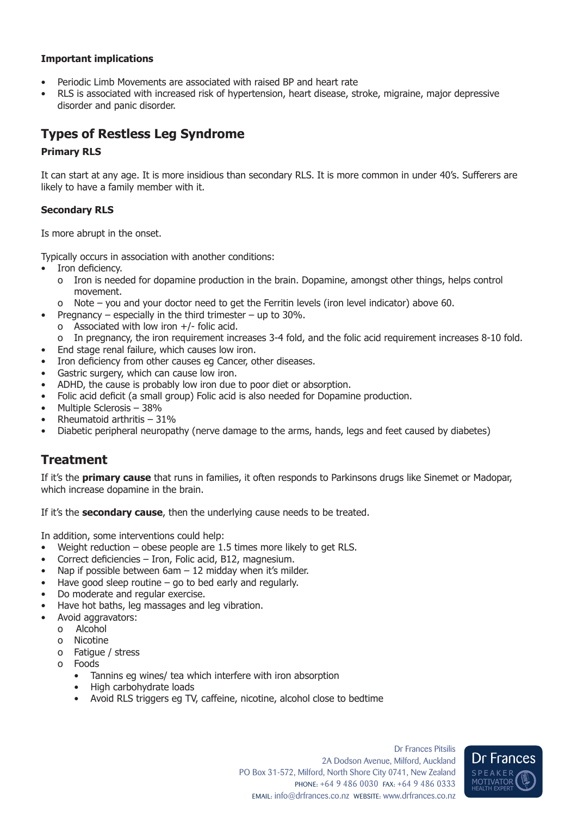### **Important implications**

- Periodic Limb Movements are associated with raised BP and heart rate
- RLS is associated with increased risk of hypertension, heart disease, stroke, migraine, major depressive disorder and panic disorder.

## **Types of Restless Leg Syndrome**

#### **Primary RLS**

It can start at any age. It is more insidious than secondary RLS. It is more common in under 40's. Sufferers are likely to have a family member with it.

#### **Secondary RLS**

Is more abrupt in the onset.

Typically occurs in association with another conditions:

- Iron deficiency.
	- o Iron is needed for dopamine production in the brain. Dopamine, amongst other things, helps control movement.
	- o Note you and your doctor need to get the Ferritin levels (iron level indicator) above 60.
- Pregnancy especially in the third trimester up to  $30\%$ .
	- o Associated with low iron  $+/-$  folic acid.
	- o In pregnancy, the iron requirement increases 3-4 fold, and the folic acid requirement increases 8-10 fold.
- End stage renal failure, which causes low iron.
- Iron deficiency from other causes eg Cancer, other diseases.
- Gastric surgery, which can cause low iron.
- ADHD, the cause is probably low iron due to poor diet or absorption.
- Folic acid deficit (a small group) Folic acid is also needed for Dopamine production.
- Multiple Sclerosis 38%
- Rheumatoid arthritis 31%
- Diabetic peripheral neuropathy (nerve damage to the arms, hands, legs and feet caused by diabetes)

### **Treatment**

If it's the **primary cause** that runs in families, it often responds to Parkinsons drugs like Sinemet or Madopar, which increase dopamine in the brain.

If it's the **secondary cause**, then the underlying cause needs to be treated.

In addition, some interventions could help:

- Weight reduction obese people are 1.5 times more likely to get RLS.
- Correct deficiencies Iron, Folic acid, B12, magnesium.
- Nap if possible between 6am 12 midday when it's milder.
- Have good sleep routine  $-$  go to bed early and regularly.
- Do moderate and regular exercise.
- Have hot baths, leg massages and leg vibration.
- Avoid aggravators:
	- o Alcohol
	- o Nicotine
	- o Fatigue / stress
	- o Foods
		- Tannins eg wines/ tea which interfere with iron absorption
		- High carbohydrate loads
		- Avoid RLS triggers eg TV, caffeine, nicotine, alcohol close to bedtime